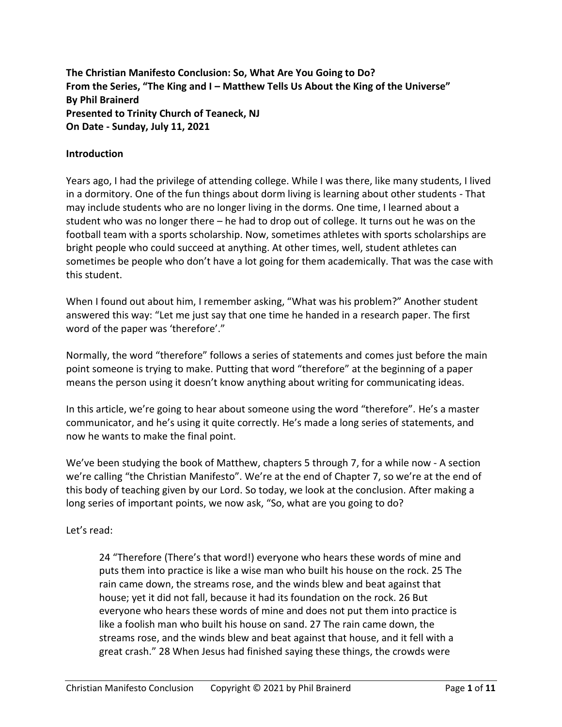**The Christian Manifesto Conclusion: So, What Are You Going to Do? From the Series, "The King and I – Matthew Tells Us About the King of the Universe" By Phil Brainerd Presented to Trinity Church of Teaneck, NJ On Date - Sunday, July 11, 2021**

### **Introduction**

Years ago, I had the privilege of attending college. While I was there, like many students, I lived in a dormitory. One of the fun things about dorm living is learning about other students - That may include students who are no longer living in the dorms. One time, I learned about a student who was no longer there – he had to drop out of college. It turns out he was on the football team with a sports scholarship. Now, sometimes athletes with sports scholarships are bright people who could succeed at anything. At other times, well, student athletes can sometimes be people who don't have a lot going for them academically. That was the case with this student.

When I found out about him, I remember asking, "What was his problem?" Another student answered this way: "Let me just say that one time he handed in a research paper. The first word of the paper was 'therefore'."

Normally, the word "therefore" follows a series of statements and comes just before the main point someone is trying to make. Putting that word "therefore" at the beginning of a paper means the person using it doesn't know anything about writing for communicating ideas.

In this article, we're going to hear about someone using the word "therefore". He's a master communicator, and he's using it quite correctly. He's made a long series of statements, and now he wants to make the final point.

We've been studying the book of Matthew, chapters 5 through 7, for a while now - A section we're calling "the Christian Manifesto". We're at the end of Chapter 7, so we're at the end of this body of teaching given by our Lord. So today, we look at the conclusion. After making a long series of important points, we now ask, "So, what are you going to do?

Let's read:

24 "Therefore (There's that word!) everyone who hears these words of mine and puts them into practice is like a wise man who built his house on the rock. 25 The rain came down, the streams rose, and the winds blew and beat against that house; yet it did not fall, because it had its foundation on the rock. 26 But everyone who hears these words of mine and does not put them into practice is like a foolish man who built his house on sand. 27 The rain came down, the streams rose, and the winds blew and beat against that house, and it fell with a great crash." 28 When Jesus had finished saying these things, the crowds were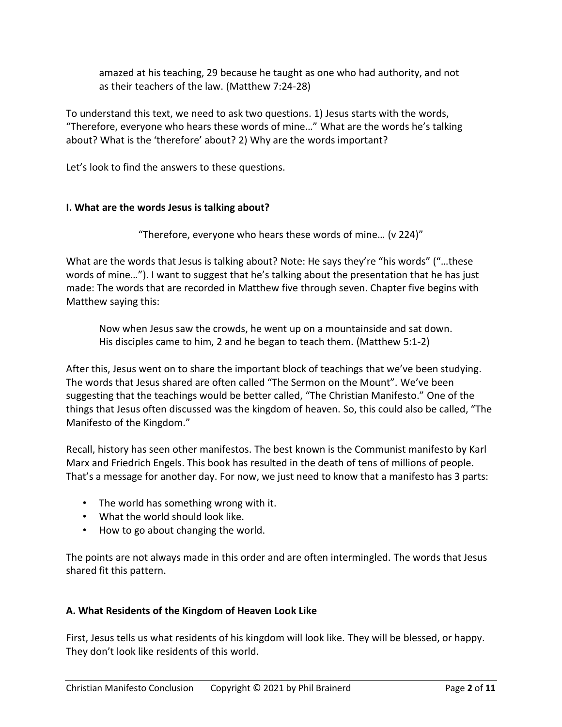amazed at his teaching, 29 because he taught as one who had authority, and not as their teachers of the law. (Matthew 7:24-28)

To understand this text, we need to ask two questions. 1) Jesus starts with the words, "Therefore, everyone who hears these words of mine…" What are the words he's talking about? What is the 'therefore' about? 2) Why are the words important?

Let's look to find the answers to these questions.

# **I. What are the words Jesus is talking about?**

"Therefore, everyone who hears these words of mine… (v 224)"

What are the words that Jesus is talking about? Note: He says they're "his words" ("…these words of mine…"). I want to suggest that he's talking about the presentation that he has just made: The words that are recorded in Matthew five through seven. Chapter five begins with Matthew saying this:

Now when Jesus saw the crowds, he went up on a mountainside and sat down. His disciples came to him, 2 and he began to teach them. (Matthew 5:1-2)

After this, Jesus went on to share the important block of teachings that we've been studying. The words that Jesus shared are often called "The Sermon on the Mount". We've been suggesting that the teachings would be better called, "The Christian Manifesto." One of the things that Jesus often discussed was the kingdom of heaven. So, this could also be called, "The Manifesto of the Kingdom."

Recall, history has seen other manifestos. The best known is the Communist manifesto by Karl Marx and Friedrich Engels. This book has resulted in the death of tens of millions of people. That's a message for another day. For now, we just need to know that a manifesto has 3 parts:

- The world has something wrong with it.
- What the world should look like.
- How to go about changing the world.

The points are not always made in this order and are often intermingled. The words that Jesus shared fit this pattern.

# **A. What Residents of the Kingdom of Heaven Look Like**

First, Jesus tells us what residents of his kingdom will look like. They will be blessed, or happy. They don't look like residents of this world.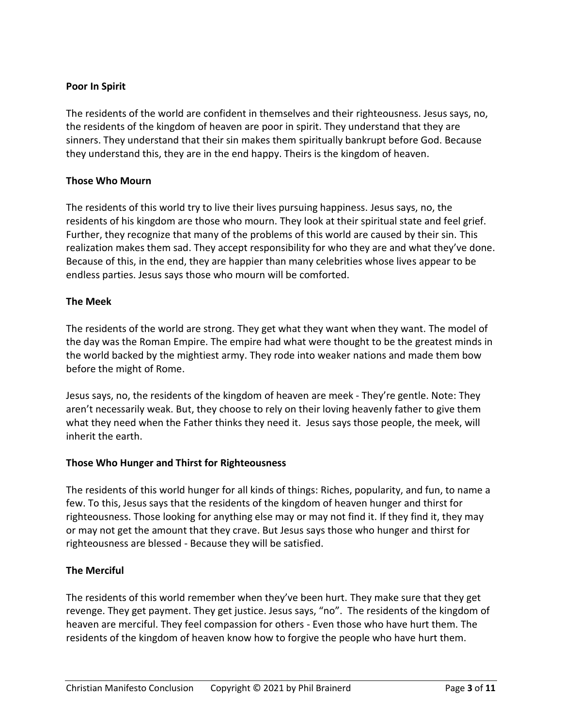### **Poor In Spirit**

The residents of the world are confident in themselves and their righteousness. Jesus says, no, the residents of the kingdom of heaven are poor in spirit. They understand that they are sinners. They understand that their sin makes them spiritually bankrupt before God. Because they understand this, they are in the end happy. Theirs is the kingdom of heaven.

### **Those Who Mourn**

The residents of this world try to live their lives pursuing happiness. Jesus says, no, the residents of his kingdom are those who mourn. They look at their spiritual state and feel grief. Further, they recognize that many of the problems of this world are caused by their sin. This realization makes them sad. They accept responsibility for who they are and what they've done. Because of this, in the end, they are happier than many celebrities whose lives appear to be endless parties. Jesus says those who mourn will be comforted.

#### **The Meek**

The residents of the world are strong. They get what they want when they want. The model of the day was the Roman Empire. The empire had what were thought to be the greatest minds in the world backed by the mightiest army. They rode into weaker nations and made them bow before the might of Rome.

Jesus says, no, the residents of the kingdom of heaven are meek - They're gentle. Note: They aren't necessarily weak. But, they choose to rely on their loving heavenly father to give them what they need when the Father thinks they need it. Jesus says those people, the meek, will inherit the earth.

#### **Those Who Hunger and Thirst for Righteousness**

The residents of this world hunger for all kinds of things: Riches, popularity, and fun, to name a few. To this, Jesus says that the residents of the kingdom of heaven hunger and thirst for righteousness. Those looking for anything else may or may not find it. If they find it, they may or may not get the amount that they crave. But Jesus says those who hunger and thirst for righteousness are blessed - Because they will be satisfied.

# **The Merciful**

The residents of this world remember when they've been hurt. They make sure that they get revenge. They get payment. They get justice. Jesus says, "no". The residents of the kingdom of heaven are merciful. They feel compassion for others - Even those who have hurt them. The residents of the kingdom of heaven know how to forgive the people who have hurt them.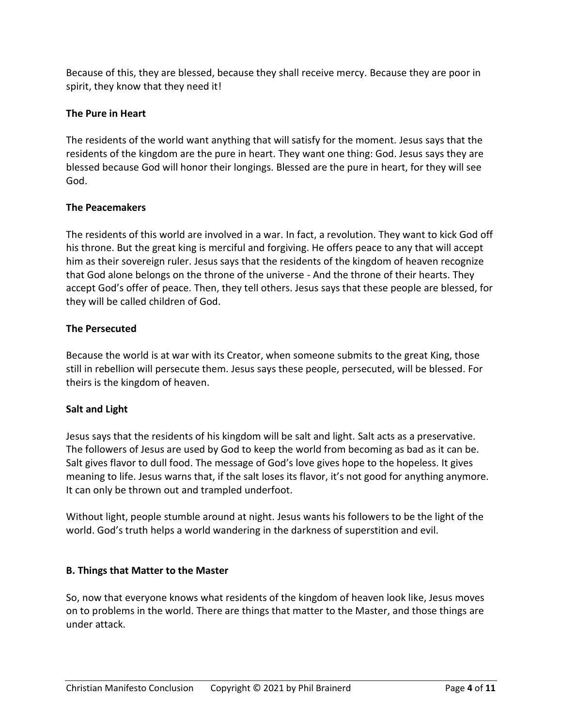Because of this, they are blessed, because they shall receive mercy. Because they are poor in spirit, they know that they need it!

# **The Pure in Heart**

The residents of the world want anything that will satisfy for the moment. Jesus says that the residents of the kingdom are the pure in heart. They want one thing: God. Jesus says they are blessed because God will honor their longings. Blessed are the pure in heart, for they will see God.

# **The Peacemakers**

The residents of this world are involved in a war. In fact, a revolution. They want to kick God off his throne. But the great king is merciful and forgiving. He offers peace to any that will accept him as their sovereign ruler. Jesus says that the residents of the kingdom of heaven recognize that God alone belongs on the throne of the universe - And the throne of their hearts. They accept God's offer of peace. Then, they tell others. Jesus says that these people are blessed, for they will be called children of God.

# **The Persecuted**

Because the world is at war with its Creator, when someone submits to the great King, those still in rebellion will persecute them. Jesus says these people, persecuted, will be blessed. For theirs is the kingdom of heaven.

# **Salt and Light**

Jesus says that the residents of his kingdom will be salt and light. Salt acts as a preservative. The followers of Jesus are used by God to keep the world from becoming as bad as it can be. Salt gives flavor to dull food. The message of God's love gives hope to the hopeless. It gives meaning to life. Jesus warns that, if the salt loses its flavor, it's not good for anything anymore. It can only be thrown out and trampled underfoot.

Without light, people stumble around at night. Jesus wants his followers to be the light of the world. God's truth helps a world wandering in the darkness of superstition and evil.

# **B. Things that Matter to the Master**

So, now that everyone knows what residents of the kingdom of heaven look like, Jesus moves on to problems in the world. There are things that matter to the Master, and those things are under attack.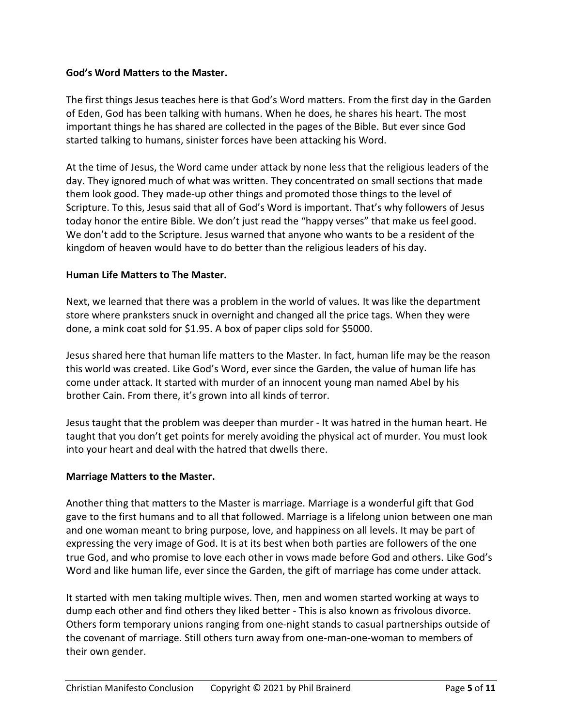### **God's Word Matters to the Master.**

The first things Jesus teaches here is that God's Word matters. From the first day in the Garden of Eden, God has been talking with humans. When he does, he shares his heart. The most important things he has shared are collected in the pages of the Bible. But ever since God started talking to humans, sinister forces have been attacking his Word.

At the time of Jesus, the Word came under attack by none less that the religious leaders of the day. They ignored much of what was written. They concentrated on small sections that made them look good. They made-up other things and promoted those things to the level of Scripture. To this, Jesus said that all of God's Word is important. That's why followers of Jesus today honor the entire Bible. We don't just read the "happy verses" that make us feel good. We don't add to the Scripture. Jesus warned that anyone who wants to be a resident of the kingdom of heaven would have to do better than the religious leaders of his day.

### **Human Life Matters to The Master.**

Next, we learned that there was a problem in the world of values. It was like the department store where pranksters snuck in overnight and changed all the price tags. When they were done, a mink coat sold for \$1.95. A box of paper clips sold for \$5000.

Jesus shared here that human life matters to the Master. In fact, human life may be the reason this world was created. Like God's Word, ever since the Garden, the value of human life has come under attack. It started with murder of an innocent young man named Abel by his brother Cain. From there, it's grown into all kinds of terror.

Jesus taught that the problem was deeper than murder - It was hatred in the human heart. He taught that you don't get points for merely avoiding the physical act of murder. You must look into your heart and deal with the hatred that dwells there.

#### **Marriage Matters to the Master.**

Another thing that matters to the Master is marriage. Marriage is a wonderful gift that God gave to the first humans and to all that followed. Marriage is a lifelong union between one man and one woman meant to bring purpose, love, and happiness on all levels. It may be part of expressing the very image of God. It is at its best when both parties are followers of the one true God, and who promise to love each other in vows made before God and others. Like God's Word and like human life, ever since the Garden, the gift of marriage has come under attack.

It started with men taking multiple wives. Then, men and women started working at ways to dump each other and find others they liked better - This is also known as frivolous divorce. Others form temporary unions ranging from one-night stands to casual partnerships outside of the covenant of marriage. Still others turn away from one-man-one-woman to members of their own gender.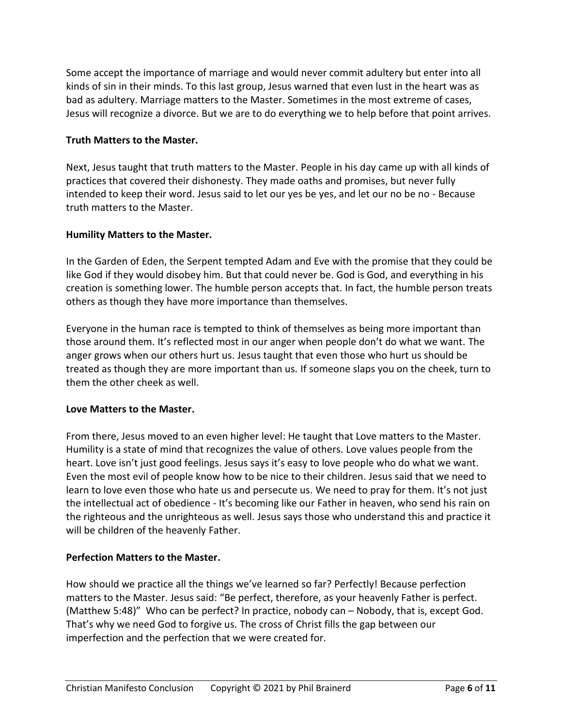Some accept the importance of marriage and would never commit adultery but enter into all kinds of sin in their minds. To this last group, Jesus warned that even lust in the heart was as bad as adultery. Marriage matters to the Master. Sometimes in the most extreme of cases, Jesus will recognize a divorce. But we are to do everything we to help before that point arrives.

### **Truth Matters to the Master.**

Next, Jesus taught that truth matters to the Master. People in his day came up with all kinds of practices that covered their dishonesty. They made oaths and promises, but never fully intended to keep their word. Jesus said to let our yes be yes, and let our no be no - Because truth matters to the Master.

### **Humility Matters to the Master.**

In the Garden of Eden, the Serpent tempted Adam and Eve with the promise that they could be like God if they would disobey him. But that could never be. God is God, and everything in his creation is something lower. The humble person accepts that. In fact, the humble person treats others as though they have more importance than themselves.

Everyone in the human race is tempted to think of themselves as being more important than those around them. It's reflected most in our anger when people don't do what we want. The anger grows when our others hurt us. Jesus taught that even those who hurt us should be treated as though they are more important than us. If someone slaps you on the cheek, turn to them the other cheek as well.

#### **Love Matters to the Master.**

From there, Jesus moved to an even higher level: He taught that Love matters to the Master. Humility is a state of mind that recognizes the value of others. Love values people from the heart. Love isn't just good feelings. Jesus says it's easy to love people who do what we want. Even the most evil of people know how to be nice to their children. Jesus said that we need to learn to love even those who hate us and persecute us. We need to pray for them. It's not just the intellectual act of obedience - It's becoming like our Father in heaven, who send his rain on the righteous and the unrighteous as well. Jesus says those who understand this and practice it will be children of the heavenly Father.

# **Perfection Matters to the Master.**

How should we practice all the things we've learned so far? Perfectly! Because perfection matters to the Master. Jesus said: "Be perfect, therefore, as your heavenly Father is perfect. (Matthew 5:48)" Who can be perfect? In practice, nobody can – Nobody, that is, except God. That's why we need God to forgive us. The cross of Christ fills the gap between our imperfection and the perfection that we were created for.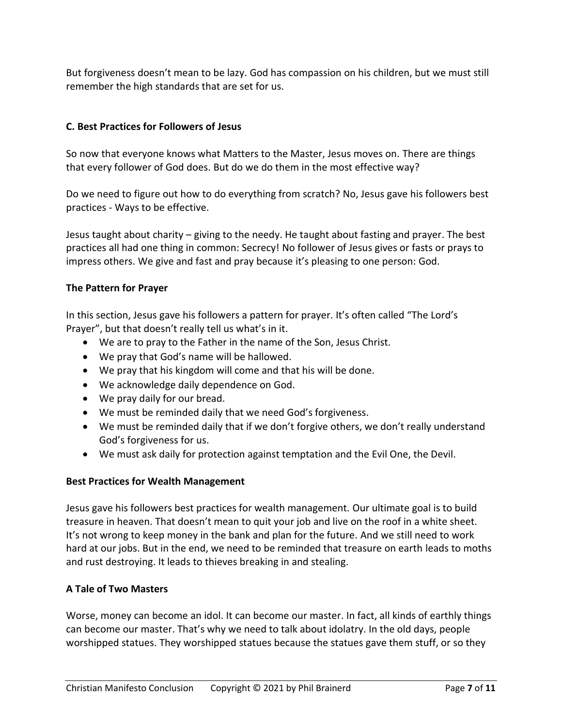But forgiveness doesn't mean to be lazy. God has compassion on his children, but we must still remember the high standards that are set for us.

# **C. Best Practices for Followers of Jesus**

So now that everyone knows what Matters to the Master, Jesus moves on. There are things that every follower of God does. But do we do them in the most effective way?

Do we need to figure out how to do everything from scratch? No, Jesus gave his followers best practices - Ways to be effective.

Jesus taught about charity – giving to the needy. He taught about fasting and prayer. The best practices all had one thing in common: Secrecy! No follower of Jesus gives or fasts or prays to impress others. We give and fast and pray because it's pleasing to one person: God.

# **The Pattern for Prayer**

In this section, Jesus gave his followers a pattern for prayer. It's often called "The Lord's Prayer", but that doesn't really tell us what's in it.

- We are to pray to the Father in the name of the Son, Jesus Christ.
- We pray that God's name will be hallowed.
- We pray that his kingdom will come and that his will be done.
- We acknowledge daily dependence on God.
- We pray daily for our bread.
- We must be reminded daily that we need God's forgiveness.
- We must be reminded daily that if we don't forgive others, we don't really understand God's forgiveness for us.
- We must ask daily for protection against temptation and the Evil One, the Devil.

# **Best Practices for Wealth Management**

Jesus gave his followers best practices for wealth management. Our ultimate goal is to build treasure in heaven. That doesn't mean to quit your job and live on the roof in a white sheet. It's not wrong to keep money in the bank and plan for the future. And we still need to work hard at our jobs. But in the end, we need to be reminded that treasure on earth leads to moths and rust destroying. It leads to thieves breaking in and stealing.

# **A Tale of Two Masters**

Worse, money can become an idol. It can become our master. In fact, all kinds of earthly things can become our master. That's why we need to talk about idolatry. In the old days, people worshipped statues. They worshipped statues because the statues gave them stuff, or so they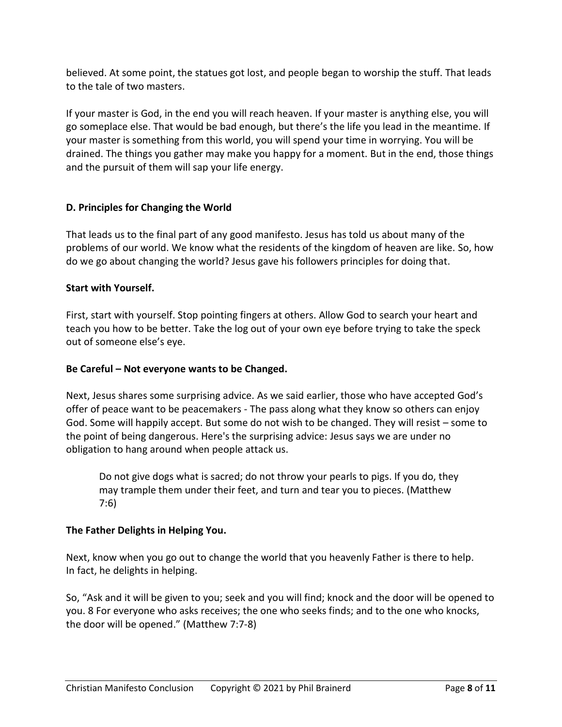believed. At some point, the statues got lost, and people began to worship the stuff. That leads to the tale of two masters.

If your master is God, in the end you will reach heaven. If your master is anything else, you will go someplace else. That would be bad enough, but there's the life you lead in the meantime. If your master is something from this world, you will spend your time in worrying. You will be drained. The things you gather may make you happy for a moment. But in the end, those things and the pursuit of them will sap your life energy.

# **D. Principles for Changing the World**

That leads us to the final part of any good manifesto. Jesus has told us about many of the problems of our world. We know what the residents of the kingdom of heaven are like. So, how do we go about changing the world? Jesus gave his followers principles for doing that.

# **Start with Yourself.**

First, start with yourself. Stop pointing fingers at others. Allow God to search your heart and teach you how to be better. Take the log out of your own eye before trying to take the speck out of someone else's eye.

# **Be Careful – Not everyone wants to be Changed.**

Next, Jesus shares some surprising advice. As we said earlier, those who have accepted God's offer of peace want to be peacemakers - The pass along what they know so others can enjoy God. Some will happily accept. But some do not wish to be changed. They will resist – some to the point of being dangerous. Here's the surprising advice: Jesus says we are under no obligation to hang around when people attack us.

Do not give dogs what is sacred; do not throw your pearls to pigs. If you do, they may trample them under their feet, and turn and tear you to pieces. (Matthew 7:6)

# **The Father Delights in Helping You.**

Next, know when you go out to change the world that you heavenly Father is there to help. In fact, he delights in helping.

So, "Ask and it will be given to you; seek and you will find; knock and the door will be opened to you. 8 For everyone who asks receives; the one who seeks finds; and to the one who knocks, the door will be opened." (Matthew 7:7-8)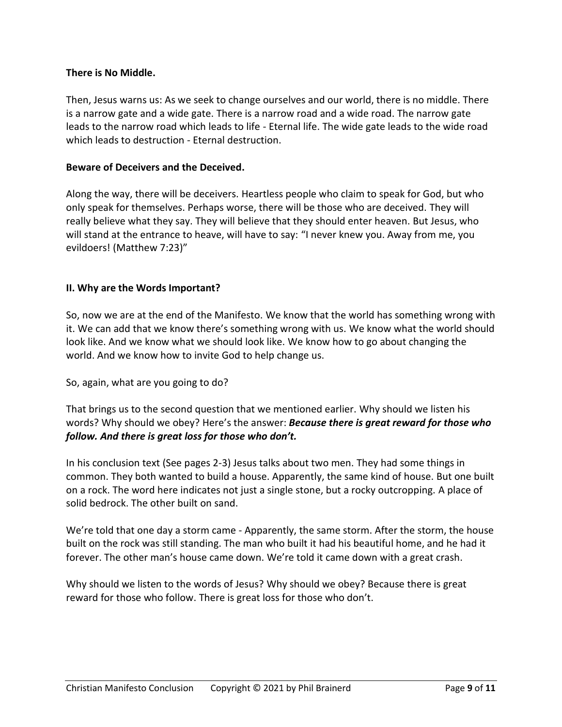### **There is No Middle.**

Then, Jesus warns us: As we seek to change ourselves and our world, there is no middle. There is a narrow gate and a wide gate. There is a narrow road and a wide road. The narrow gate leads to the narrow road which leads to life - Eternal life. The wide gate leads to the wide road which leads to destruction - Eternal destruction.

### **Beware of Deceivers and the Deceived.**

Along the way, there will be deceivers. Heartless people who claim to speak for God, but who only speak for themselves. Perhaps worse, there will be those who are deceived. They will really believe what they say. They will believe that they should enter heaven. But Jesus, who will stand at the entrance to heave, will have to say: "I never knew you. Away from me, you evildoers! (Matthew 7:23)"

### **II. Why are the Words Important?**

So, now we are at the end of the Manifesto. We know that the world has something wrong with it. We can add that we know there's something wrong with us. We know what the world should look like. And we know what we should look like. We know how to go about changing the world. And we know how to invite God to help change us.

#### So, again, what are you going to do?

That brings us to the second question that we mentioned earlier. Why should we listen his words? Why should we obey? Here's the answer: *Because there is great reward for those who follow. And there is great loss for those who don't.*

In his conclusion text (See pages 2-3) Jesus talks about two men. They had some things in common. They both wanted to build a house. Apparently, the same kind of house. But one built on a rock. The word here indicates not just a single stone, but a rocky outcropping. A place of solid bedrock. The other built on sand.

We're told that one day a storm came - Apparently, the same storm. After the storm, the house built on the rock was still standing. The man who built it had his beautiful home, and he had it forever. The other man's house came down. We're told it came down with a great crash.

Why should we listen to the words of Jesus? Why should we obey? Because there is great reward for those who follow. There is great loss for those who don't.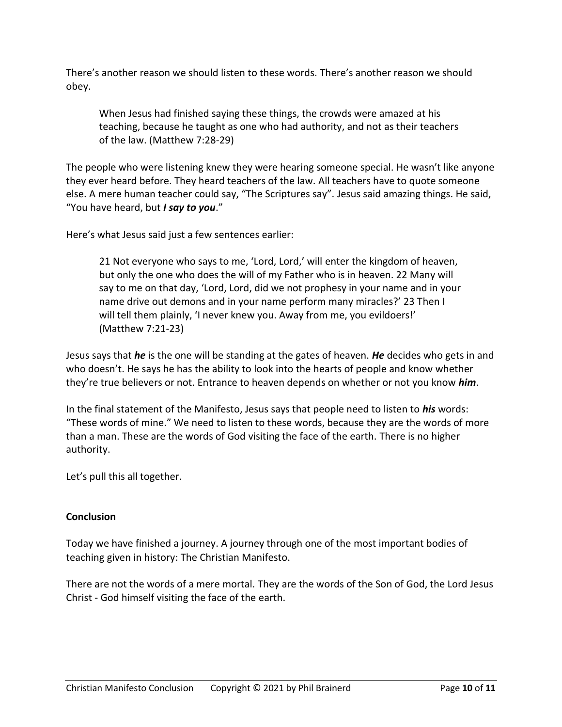There's another reason we should listen to these words. There's another reason we should obey.

When Jesus had finished saying these things, the crowds were amazed at his teaching, because he taught as one who had authority, and not as their teachers of the law. (Matthew 7:28-29)

The people who were listening knew they were hearing someone special. He wasn't like anyone they ever heard before. They heard teachers of the law. All teachers have to quote someone else. A mere human teacher could say, "The Scriptures say". Jesus said amazing things. He said, "You have heard, but *I say to you*."

Here's what Jesus said just a few sentences earlier:

21 Not everyone who says to me, 'Lord, Lord,' will enter the kingdom of heaven, but only the one who does the will of my Father who is in heaven. 22 Many will say to me on that day, 'Lord, Lord, did we not prophesy in your name and in your name drive out demons and in your name perform many miracles?' 23 Then I will tell them plainly, 'I never knew you. Away from me, you evildoers!' (Matthew 7:21-23)

Jesus says that *he* is the one will be standing at the gates of heaven. *He* decides who gets in and who doesn't. He says he has the ability to look into the hearts of people and know whether they're true believers or not. Entrance to heaven depends on whether or not you know *him*.

In the final statement of the Manifesto, Jesus says that people need to listen to *his* words: "These words of mine." We need to listen to these words, because they are the words of more than a man. These are the words of God visiting the face of the earth. There is no higher authority.

Let's pull this all together.

# **Conclusion**

Today we have finished a journey. A journey through one of the most important bodies of teaching given in history: The Christian Manifesto.

There are not the words of a mere mortal. They are the words of the Son of God, the Lord Jesus Christ - God himself visiting the face of the earth.